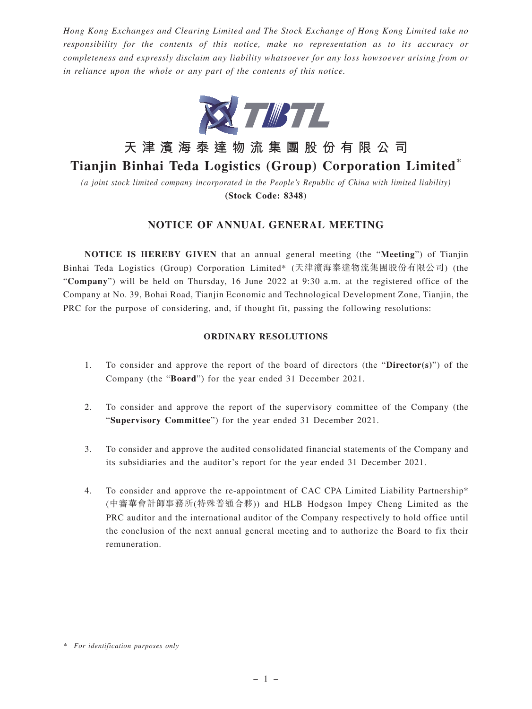*Hong Kong Exchanges and Clearing Limited and The Stock Exchange of Hong Kong Limited take no responsibility for the contents of this notice, make no representation as to its accuracy or completeness and expressly disclaim any liability whatsoever for any loss howsoever arising from or in reliance upon the whole or any part of the contents of this notice.*



# **天津濱海泰達物流集團股份有限公司**

## **Tianjin Binhai Teda Logistics (Group) Corporation Limited\***

*(a joint stock limited company incorporated in the People's Republic of China with limited liability)* **(Stock Code: 8348)**

### **NOTICE OF ANNUAL GENERAL MEETING**

**NOTICE IS HEREBY GIVEN** that an annual general meeting (the "**Meeting**") of Tianjin Binhai Teda Logistics (Group) Corporation Limited\* (天津濱海泰達物流集團股份有限公司) (the "**Company**") will be held on Thursday, 16 June 2022 at 9:30 a.m. at the registered office of the Company at No. 39, Bohai Road, Tianjin Economic and Technological Development Zone, Tianjin, the PRC for the purpose of considering, and, if thought fit, passing the following resolutions:

#### **ORDINARY RESOLUTIONS**

- 1. To consider and approve the report of the board of directors (the "**Director(s)**") of the Company (the "**Board**") for the year ended 31 December 2021.
- 2. To consider and approve the report of the supervisory committee of the Company (the "**Supervisory Committee**") for the year ended 31 December 2021.
- 3. To consider and approve the audited consolidated financial statements of the Company and its subsidiaries and the auditor's report for the year ended 31 December 2021.
- 4. To consider and approve the re-appointment of CAC CPA Limited Liability Partnership\* (中審華會計師事務所(特殊普通合夥)) and HLB Hodgson Impey Cheng Limited as the PRC auditor and the international auditor of the Company respectively to hold office until the conclusion of the next annual general meeting and to authorize the Board to fix their remuneration.

*<sup>\*</sup> For identification purposes only*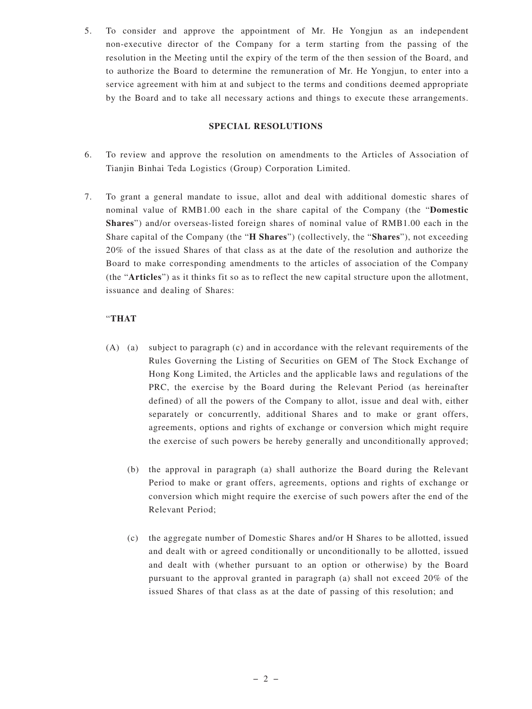5. To consider and approve the appointment of Mr. He Yongjun as an independent non-executive director of the Company for a term starting from the passing of the resolution in the Meeting until the expiry of the term of the then session of the Board, and to authorize the Board to determine the remuneration of Mr. He Yongjun, to enter into a service agreement with him at and subject to the terms and conditions deemed appropriate by the Board and to take all necessary actions and things to execute these arrangements.

#### **SPECIAL RESOLUTIONS**

- 6. To review and approve the resolution on amendments to the Articles of Association of Tianjin Binhai Teda Logistics (Group) Corporation Limited.
- 7. To grant a general mandate to issue, allot and deal with additional domestic shares of nominal value of RMB1.00 each in the share capital of the Company (the "**Domestic Shares**") and/or overseas-listed foreign shares of nominal value of RMB1.00 each in the Share capital of the Company (the "**H Shares**") (collectively, the "**Shares**"), not exceeding 20% of the issued Shares of that class as at the date of the resolution and authorize the Board to make corresponding amendments to the articles of association of the Company (the "**Articles**") as it thinks fit so as to reflect the new capital structure upon the allotment, issuance and dealing of Shares:

#### "**THAT**

- (A) (a) subject to paragraph (c) and in accordance with the relevant requirements of the Rules Governing the Listing of Securities on GEM of The Stock Exchange of Hong Kong Limited, the Articles and the applicable laws and regulations of the PRC, the exercise by the Board during the Relevant Period (as hereinafter defined) of all the powers of the Company to allot, issue and deal with, either separately or concurrently, additional Shares and to make or grant offers, agreements, options and rights of exchange or conversion which might require the exercise of such powers be hereby generally and unconditionally approved;
	- (b) the approval in paragraph (a) shall authorize the Board during the Relevant Period to make or grant offers, agreements, options and rights of exchange or conversion which might require the exercise of such powers after the end of the Relevant Period;
	- (c) the aggregate number of Domestic Shares and/or H Shares to be allotted, issued and dealt with or agreed conditionally or unconditionally to be allotted, issued and dealt with (whether pursuant to an option or otherwise) by the Board pursuant to the approval granted in paragraph (a) shall not exceed 20% of the issued Shares of that class as at the date of passing of this resolution; and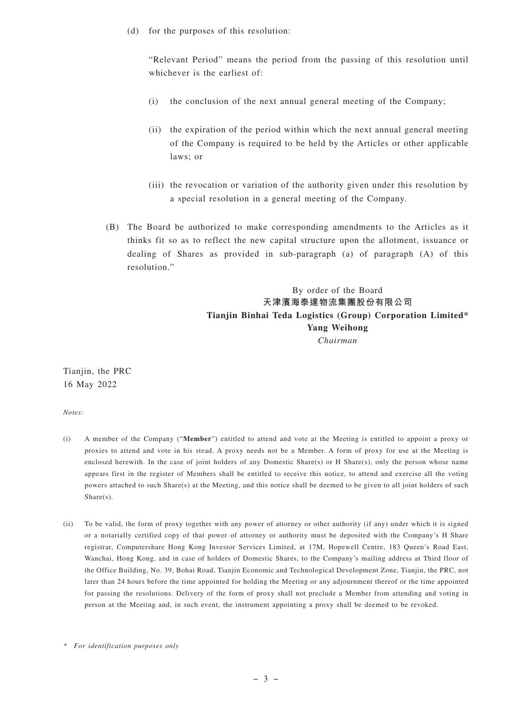(d) for the purposes of this resolution:

"Relevant Period" means the period from the passing of this resolution until whichever is the earliest of:

- (i) the conclusion of the next annual general meeting of the Company;
- (ii) the expiration of the period within which the next annual general meeting of the Company is required to be held by the Articles or other applicable laws; or
- (iii) the revocation or variation of the authority given under this resolution by a special resolution in a general meeting of the Company.
- (B) The Board be authorized to make corresponding amendments to the Articles as it thinks fit so as to reflect the new capital structure upon the allotment, issuance or dealing of Shares as provided in sub-paragraph (a) of paragraph (A) of this resolution."

By order of the Board **天津濱海泰達物流集團股份有限公司 Tianjin Binhai Teda Logistics (Group) Corporation Limited\* Yang Weihong** *Chairman*

Tianjin, the PRC 16 May 2022

*Notes:*

- (i) A member of the Company ("**Member**") entitled to attend and vote at the Meeting is entitled to appoint a proxy or proxies to attend and vote in his stead. A proxy needs not be a Member. A form of proxy for use at the Meeting is enclosed herewith. In the case of joint holders of any Domestic Share(s) or H Share(s), only the person whose name appears first in the register of Members shall be entitled to receive this notice, to attend and exercise all the voting powers attached to such Share(s) at the Meeting, and this notice shall be deemed to be given to all joint holders of such Share(s).
- (ii) To be valid, the form of proxy together with any power of attorney or other authority (if any) under which it is signed or a notarially certified copy of that power of attorney or authority must be deposited with the Company's H Share registrar, Computershare Hong Kong Investor Services Limited, at 17M, Hopewell Centre, 183 Queen's Road East, Wanchai, Hong Kong, and in case of holders of Domestic Shares, to the Company's mailing address at Third floor of the Office Building, No. 39, Bohai Road, Tianjin Economic and Technological Development Zone, Tianjin, the PRC, not later than 24 hours before the time appointed for holding the Meeting or any adjournment thereof or the time appointed for passing the resolutions. Delivery of the form of proxy shall not preclude a Member from attending and voting in person at the Meeting and, in such event, the instrument appointing a proxy shall be deemed to be revoked.

*<sup>\*</sup> For identification purposes only*